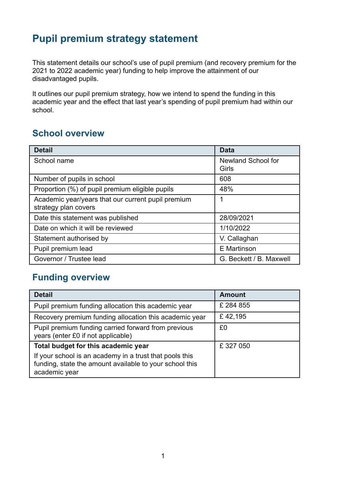## **Pupil premium strategy statement**

This statement details our school's use of pupil premium (and recovery premium for the 2021 to 2022 academic year) funding to help improve the attainment of our disadvantaged pupils.

It outlines our pupil premium strategy, how we intend to spend the funding in this academic year and the effect that last year's spending of pupil premium had within our school.

## **School overview**

| <b>Detail</b>                                                              | <b>Data</b>                        |
|----------------------------------------------------------------------------|------------------------------------|
| School name                                                                | <b>Newland School for</b><br>Girls |
| Number of pupils in school                                                 | 608                                |
| Proportion (%) of pupil premium eligible pupils                            | 48%                                |
| Academic year/years that our current pupil premium<br>strategy plan covers | 1                                  |
| Date this statement was published                                          | 28/09/2021                         |
| Date on which it will be reviewed                                          | 1/10/2022                          |
| Statement authorised by                                                    | V. Callaghan                       |
| Pupil premium lead                                                         | E Martinson                        |
| Governor / Trustee lead                                                    | G. Beckett / B. Maxwell            |

## **Funding overview**

| <b>Detail</b>                                                                                                                       | <b>Amount</b> |
|-------------------------------------------------------------------------------------------------------------------------------------|---------------|
| Pupil premium funding allocation this academic year                                                                                 | £ 284 855     |
| Recovery premium funding allocation this academic year                                                                              | £42,195       |
| Pupil premium funding carried forward from previous<br>years (enter £0 if not applicable)                                           | £0            |
| Total budget for this academic year                                                                                                 | £327050       |
| If your school is an academy in a trust that pools this<br>funding, state the amount available to your school this<br>academic year |               |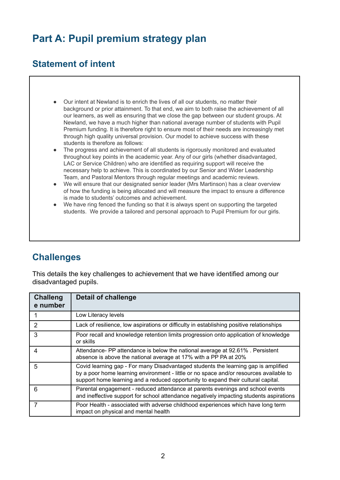# **Part A: Pupil premium strategy plan**

### **Statement of intent**

- Our intent at Newland is to enrich the lives of all our students, no matter their background or prior attainment. To that end, we aim to both raise the achievement of all our learners, as well as ensuring that we close the gap between our student groups. At Newland, we have a much higher than national average number of students with Pupil Premium funding. It is therefore right to ensure most of their needs are increasingly met through high quality universal provision. Our model to achieve success with these students is therefore as follows:
- The progress and achievement of all students is rigorously monitored and evaluated throughout key points in the academic year. Any of our girls (whether disadvantaged, LAC or Service Children) who are identified as requiring support will receive the necessary help to achieve. This is coordinated by our Senior and Wider Leadership Team, and Pastoral Mentors through regular meetings and academic reviews.
- We will ensure that our designated senior leader (Mrs Martinson) has a clear overview of how the funding is being allocated and will measure the impact to ensure a difference is made to students' outcomes and achievement.
- We have ring fenced the funding so that it is always spent on supporting the targeted students. We provide a tailored and personal approach to Pupil Premium for our girls.

### **Challenges**

This details the key challenges to achievement that we have identified among our disadvantaged pupils.

| <b>Challeng</b><br>e number | Detail of challenge                                                                                                                                                                                                                                               |
|-----------------------------|-------------------------------------------------------------------------------------------------------------------------------------------------------------------------------------------------------------------------------------------------------------------|
|                             | Low Literacy levels                                                                                                                                                                                                                                               |
| $\overline{2}$              | Lack of resilience, low aspirations or difficulty in establishing positive relationships                                                                                                                                                                          |
| 3                           | Poor recall and knowledge retention limits progression onto application of knowledge<br>or skills                                                                                                                                                                 |
| 4                           | Attendance- PP attendance is below the national average at 92.61%. Persistent<br>absence is above the national average at 17% with a PP PA at 20%                                                                                                                 |
| 5                           | Covid learning gap - For many Disadvantaged students the learning gap is amplified<br>by a poor home learning environment - little or no space and/or resources available to<br>support home learning and a reduced opportunity to expand their cultural capital. |
| 6                           | Parental engagement - reduced attendance at parents evenings and school events<br>and ineffective support for school attendance negatively impacting students aspirations                                                                                         |
| 7                           | Poor Health - associated with adverse childhood experiences which have long term<br>impact on physical and mental health                                                                                                                                          |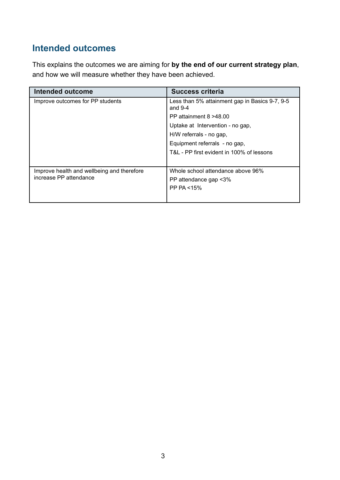## **Intended outcomes**

This explains the outcomes we are aiming for **by the end of our current strategy plan**, and how we will measure whether they have been achieved.

| <b>Intended outcome</b>                    | <b>Success criteria</b>                                     |
|--------------------------------------------|-------------------------------------------------------------|
| Improve outcomes for PP students           | Less than 5% attainment gap in Basics 9-7, 9-5<br>and $9-4$ |
|                                            | PP attainment $8 > 48.00$                                   |
|                                            | Uptake at Intervention - no gap,                            |
|                                            | H/W referrals - no gap,                                     |
|                                            | Equipment referrals - no gap,                               |
|                                            | T&L - PP first evident in 100% of lessons                   |
|                                            |                                                             |
| Improve health and wellbeing and therefore | Whole school attendance above 96%                           |
| increase PP attendance                     | PP attendance gap <3%                                       |
|                                            | PP PA <15%                                                  |
|                                            |                                                             |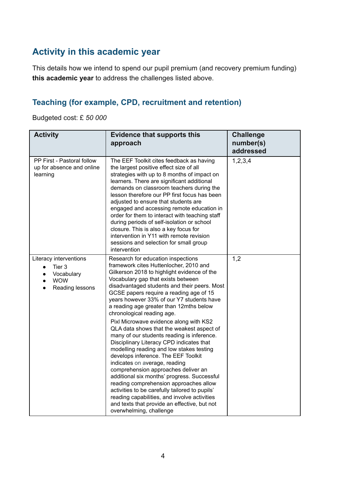## **Activity in this academic year**

This details how we intend to spend our pupil premium (and recovery premium funding) **this academic year** to address the challenges listed above.

#### **Teaching (for example, CPD, recruitment and retention)**

Budgeted cost: £ *50 000*

| <b>Activity</b>                                                                                                        | <b>Evidence that supports this</b><br>approach                                                                                                                                                                                                                                                                                                                                                                                                                                                                                                                                                                   | <b>Challenge</b><br>number(s)<br>addressed |
|------------------------------------------------------------------------------------------------------------------------|------------------------------------------------------------------------------------------------------------------------------------------------------------------------------------------------------------------------------------------------------------------------------------------------------------------------------------------------------------------------------------------------------------------------------------------------------------------------------------------------------------------------------------------------------------------------------------------------------------------|--------------------------------------------|
| PP First - Pastoral follow<br>up for absence and online<br>learning                                                    | The EEF Toolkit cites feedback as having<br>the largest positive effect size of all<br>strategies with up to 8 months of impact on<br>learners. There are significant additional<br>demands on classroom teachers during the<br>lesson therefore our PP first focus has been<br>adjusted to ensure that students are<br>engaged and accessing remote education in<br>order for them to interact with teaching staff<br>during periods of self-isolation or school<br>closure. This is also a key focus for<br>intervention in Y11 with remote revision<br>sessions and selection for small group<br>intervention | 1,2,3,4                                    |
| Literacy interventions<br>Tier 3<br>$\bullet$<br>Vocabulary<br>$\bullet$<br><b>WOW</b><br>$\bullet$<br>Reading lessons | Research for education inspections<br>framework cites Huttenlocher, 2010 and<br>Gilkerson 2018 to highlight evidence of the<br>Vocabulary gap that exists between<br>disadvantaged students and their peers. Most<br>GCSE papers require a reading age of 15<br>years however 33% of our Y7 students have<br>a reading age greater than 12mths below<br>chronological reading age.                                                                                                                                                                                                                               | 1,2                                        |
|                                                                                                                        | Pixl Microwave evidence along with KS2<br>QLA data shows that the weakest aspect of<br>many of our students reading is inference.<br>Disciplinary Literacy CPD indicates that<br>modelling reading and low stakes testing<br>develops inference. The EEF Toolkit<br>indicates on average, reading<br>comprehension approaches deliver an<br>additional six months' progress. Successful<br>reading comprehension approaches allow<br>activities to be carefully tailored to pupils'<br>reading capabilities, and involve activities<br>and texts that provide an effective, but not<br>overwhelming, challenge   |                                            |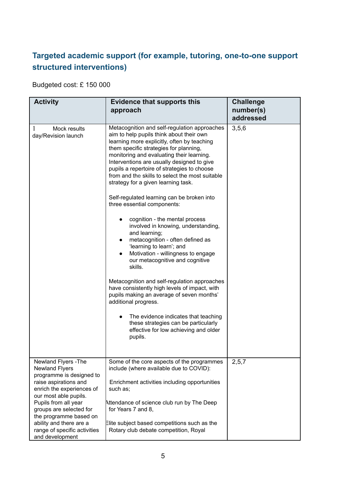## **Targeted academic support (for example, tutoring, one-to-one support structured interventions)**

Budgeted cost: £ 150 000

| <b>Activity</b>                                                             | <b>Evidence that supports this</b><br>approach                                                                                                                                                                                                                                                                                                                                                                                                                                                     | <b>Challenge</b><br>number(s)<br>addressed |
|-----------------------------------------------------------------------------|----------------------------------------------------------------------------------------------------------------------------------------------------------------------------------------------------------------------------------------------------------------------------------------------------------------------------------------------------------------------------------------------------------------------------------------------------------------------------------------------------|--------------------------------------------|
| Mock results<br>1<br>day/Revision launch                                    | Metacognition and self-regulation approaches<br>aim to help pupils think about their own<br>learning more explicitly, often by teaching<br>them specific strategies for planning,<br>monitoring and evaluating their learning.<br>Interventions are usually designed to give<br>pupils a repertoire of strategies to choose<br>from and the skills to select the most suitable<br>strategy for a given learning task.<br>Self-regulated learning can be broken into<br>three essential components: | 3,5,6                                      |
|                                                                             | cognition - the mental process<br>involved in knowing, understanding,<br>and learning;<br>metacognition - often defined as<br>$\bullet$<br>'learning to learn'; and<br>Motivation - willingness to engage<br>$\bullet$<br>our metacognitive and cognitive<br>skills.                                                                                                                                                                                                                               |                                            |
|                                                                             | Metacognition and self-regulation approaches<br>have consistently high levels of impact, with<br>pupils making an average of seven months'<br>additional progress.                                                                                                                                                                                                                                                                                                                                 |                                            |
|                                                                             | The evidence indicates that teaching<br>$\bullet$<br>these strategies can be particularly<br>effective for low achieving and older<br>pupils.                                                                                                                                                                                                                                                                                                                                                      |                                            |
| Newland Flyers - The<br><b>Newland Flyers</b><br>programme is designed to   | Some of the core aspects of the programmes<br>include (where available due to COVID):                                                                                                                                                                                                                                                                                                                                                                                                              | 2, 5, 7                                    |
| raise aspirations and<br>enrich the experiences of<br>our most able pupils. | Enrichment activities including opportunities<br>such as;                                                                                                                                                                                                                                                                                                                                                                                                                                          |                                            |
| Pupils from all year<br>groups are selected for<br>the programme based on   | Attendance of science club run by The Deep<br>for Years 7 and 8,                                                                                                                                                                                                                                                                                                                                                                                                                                   |                                            |
| ability and there are a<br>range of specific activities<br>and development  | Elite subject based competitions such as the<br>Rotary club debate competition, Royal                                                                                                                                                                                                                                                                                                                                                                                                              |                                            |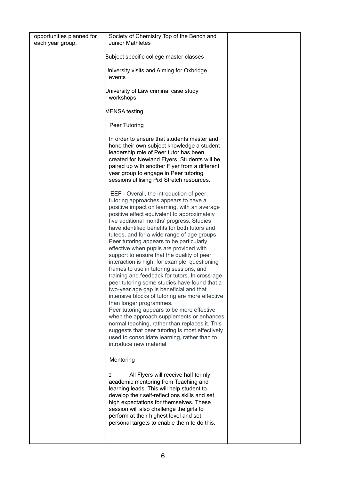| opportunities planned for<br>each year group. | Society of Chemistry Top of the Bench and<br><b>Junior Mathletes</b>                                                                                                                                                                                                                                                                                                                                                                                                                                                                                                                                                                                                                                                                                                                                                                                                                                                                                                                                                                                             |  |
|-----------------------------------------------|------------------------------------------------------------------------------------------------------------------------------------------------------------------------------------------------------------------------------------------------------------------------------------------------------------------------------------------------------------------------------------------------------------------------------------------------------------------------------------------------------------------------------------------------------------------------------------------------------------------------------------------------------------------------------------------------------------------------------------------------------------------------------------------------------------------------------------------------------------------------------------------------------------------------------------------------------------------------------------------------------------------------------------------------------------------|--|
|                                               |                                                                                                                                                                                                                                                                                                                                                                                                                                                                                                                                                                                                                                                                                                                                                                                                                                                                                                                                                                                                                                                                  |  |
|                                               | Subject specific college master classes                                                                                                                                                                                                                                                                                                                                                                                                                                                                                                                                                                                                                                                                                                                                                                                                                                                                                                                                                                                                                          |  |
|                                               | Jniversity visits and Aiming for Oxbridge<br>events                                                                                                                                                                                                                                                                                                                                                                                                                                                                                                                                                                                                                                                                                                                                                                                                                                                                                                                                                                                                              |  |
|                                               | Jniversity of Law criminal case study<br>workshops                                                                                                                                                                                                                                                                                                                                                                                                                                                                                                                                                                                                                                                                                                                                                                                                                                                                                                                                                                                                               |  |
|                                               | MENSA testing                                                                                                                                                                                                                                                                                                                                                                                                                                                                                                                                                                                                                                                                                                                                                                                                                                                                                                                                                                                                                                                    |  |
|                                               | Peer Tutoring                                                                                                                                                                                                                                                                                                                                                                                                                                                                                                                                                                                                                                                                                                                                                                                                                                                                                                                                                                                                                                                    |  |
|                                               | In order to ensure that students master and<br>hone their own subject knowledge a student<br>leadership role of Peer tutor has been<br>created for Newland Flyers. Students will be<br>paired up with another Flyer from a different<br>year group to engage in Peer tutoring<br>sessions utilising Pixl Stretch resources.                                                                                                                                                                                                                                                                                                                                                                                                                                                                                                                                                                                                                                                                                                                                      |  |
|                                               | EEF - Overall, the introduction of peer<br>tutoring approaches appears to have a<br>positive impact on learning, with an average<br>positive effect equivalent to approximately<br>five additional months' progress. Studies<br>have identified benefits for both tutors and<br>tutees, and for a wide range of age groups<br>Peer tutoring appears to be particularly<br>effective when pupils are provided with<br>support to ensure that the quality of peer<br>interaction is high: for example, questioning<br>frames to use in tutoring sessions, and<br>training and feedback for tutors. In cross-age<br>peer tutoring some studies have found that a<br>two-year age gap is beneficial and that<br>intensive blocks of tutoring are more effective<br>than longer programmes.<br>Peer tutoring appears to be more effective<br>when the approach supplements or enhances<br>normal teaching, rather than replaces it. This<br>suggests that peer tutoring is most effectively<br>used to consolidate learning, rather than to<br>introduce new material |  |
|                                               | Mentoring                                                                                                                                                                                                                                                                                                                                                                                                                                                                                                                                                                                                                                                                                                                                                                                                                                                                                                                                                                                                                                                        |  |
|                                               | All Flyers will receive half termly<br>2<br>academic mentoring from Teaching and<br>learning leads. This will help student to<br>develop their self-reflections skills and set<br>high expectations for themselves. These<br>session will also challenge the girls to<br>perform at their highest level and set<br>personal targets to enable them to do this.                                                                                                                                                                                                                                                                                                                                                                                                                                                                                                                                                                                                                                                                                                   |  |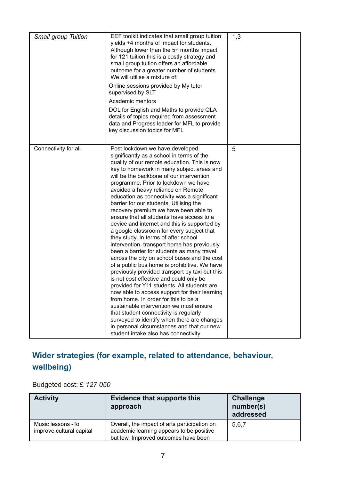| <b>Small group Tuition</b> | EEF toolkit indicates that small group tuition<br>yields +4 months of impact for students.<br>Although lower than the 5+ months impact<br>for 121 tuition this is a costly strategy and<br>small group tuition offers an affordable<br>outcome for a greater number of students.<br>We will utilise a mixture of:<br>Online sessions provided by My tutor<br>supervised by SLT<br>Academic mentors<br>DOL for English and Maths to provide QLA<br>details of topics required from assessment<br>data and Progress leader for MFL to provide<br>key discussion topics for MFL                                                                                                                                                                                                                                                                                                                                                                                                                                                                                                                                                                                                                                                                                                         | 1,3 |
|----------------------------|--------------------------------------------------------------------------------------------------------------------------------------------------------------------------------------------------------------------------------------------------------------------------------------------------------------------------------------------------------------------------------------------------------------------------------------------------------------------------------------------------------------------------------------------------------------------------------------------------------------------------------------------------------------------------------------------------------------------------------------------------------------------------------------------------------------------------------------------------------------------------------------------------------------------------------------------------------------------------------------------------------------------------------------------------------------------------------------------------------------------------------------------------------------------------------------------------------------------------------------------------------------------------------------|-----|
| Connectivity for all       | Post lockdown we have developed<br>significantly as a school in terms of the<br>quality of our remote education. This is now<br>key to homework in many subject areas and<br>will be the backbone of our intervention<br>programme. Prior to lockdown we have<br>avoided a heavy reliance on Remote<br>education as connectivity was a significant<br>barrier for our students. Utilising the<br>recovery premium we have been able to<br>ensure that all students have access to a<br>device and internet and this is supported by<br>a google classroom for every subject that<br>they study. In terms of after school<br>intervention, transport home has previously<br>been a barrier for students as many travel<br>across the city on school buses and the cost<br>of a public bus home is prohibitive. We have<br>previously provided transport by taxi but this<br>is not cost effective and could only be<br>provided for Y11 students. All students are<br>now able to access support for their learning<br>from home. In order for this to be a<br>sustainable intervention we must ensure<br>that student connectivity is regularly<br>surveyed to identify when there are changes<br>in personal circumstances and that our new<br>student intake also has connectivity | 5   |

## **Wider strategies (for example, related to attendance, behaviour, wellbeing)**

Budgeted cost: £ *127 050*

| <b>Activity</b>                               | <b>Evidence that supports this</b><br>approach                                                                                   | <b>Challenge</b><br>number(s)<br>addressed |
|-----------------------------------------------|----------------------------------------------------------------------------------------------------------------------------------|--------------------------------------------|
| Music lessons -To<br>improve cultural capital | Overall, the impact of arts participation on<br>academic learning appears to be positive<br>but low. Improved outcomes have been | 5,6,7                                      |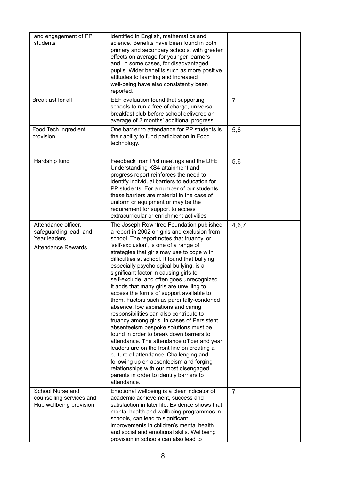| and engagement of PP<br>students                                                          | identified in English, mathematics and<br>science. Benefits have been found in both<br>primary and secondary schools, with greater<br>effects on average for younger learners<br>and, in some cases, for disadvantaged<br>pupils. Wider benefits such as more positive<br>attitudes to learning and increased<br>well-being have also consistently been<br>reported.                                                                                                                                                                                                                                                                                                                                                                                                                                                                                                                                                                                                                                                                                                   |                |
|-------------------------------------------------------------------------------------------|------------------------------------------------------------------------------------------------------------------------------------------------------------------------------------------------------------------------------------------------------------------------------------------------------------------------------------------------------------------------------------------------------------------------------------------------------------------------------------------------------------------------------------------------------------------------------------------------------------------------------------------------------------------------------------------------------------------------------------------------------------------------------------------------------------------------------------------------------------------------------------------------------------------------------------------------------------------------------------------------------------------------------------------------------------------------|----------------|
| <b>Breakfast for all</b>                                                                  | EEF evaluation found that supporting<br>schools to run a free of charge, universal<br>breakfast club before school delivered an<br>average of 2 months' additional progress.                                                                                                                                                                                                                                                                                                                                                                                                                                                                                                                                                                                                                                                                                                                                                                                                                                                                                           | $\overline{7}$ |
| Food Tech ingredient<br>provision                                                         | One barrier to attendance for PP students is<br>their ability to fund participation in Food<br>technology.                                                                                                                                                                                                                                                                                                                                                                                                                                                                                                                                                                                                                                                                                                                                                                                                                                                                                                                                                             | 5,6            |
| Hardship fund                                                                             | Feedback from Pixl meetings and the DFE<br>Understanding KS4 attainment and<br>progress report reinforces the need to<br>identify individual barriers to education for<br>PP students. For a number of our students<br>these barriers are material in the case of<br>uniform or equipment or may be the<br>requirement for support to access<br>extracurricular or enrichment activities                                                                                                                                                                                                                                                                                                                                                                                                                                                                                                                                                                                                                                                                               | 5,6            |
| Attendance officer,<br>safeguarding lead and<br>Year leaders<br><b>Attendance Rewards</b> | The Joseph Rowntree Foundation published<br>a report in 2002 on girls and exclusion from<br>school. The report notes that truancy, or<br>'self-exclusion', is one of a range of<br>strategies that girls may use to cope with<br>difficulties at school. It found that bullying,<br>especially psychological bullying, is a<br>significant factor in causing girls to<br>self-exclude, and often goes unrecognized.<br>It adds that many girls are unwilling to<br>access the forms of support available to<br>them. Factors such as parentally-condoned<br>absence, low aspirations and caring<br>responsibilities can also contribute to<br>truancy among girls. In cases of Persistent<br>absenteeism bespoke solutions must be<br>found in order to break down barriers to<br>attendance. The attendance officer and year<br>leaders are on the front line on creating a<br>culture of attendance. Challenging and<br>following up on absenteeism and forging<br>relationships with our most disengaged<br>parents in order to identify barriers to<br>attendance. | 4,6,7          |
| School Nurse and<br>counselling services and<br>Hub wellbeing provision                   | Emotional wellbeing is a clear indicator of<br>academic achievement, success and<br>satisfaction in later life. Evidence shows that<br>mental health and wellbeing programmes in<br>schools, can lead to significant<br>improvements in children's mental health,<br>and social and emotional skills. Wellbeing<br>provision in schools can also lead to                                                                                                                                                                                                                                                                                                                                                                                                                                                                                                                                                                                                                                                                                                               | $\overline{7}$ |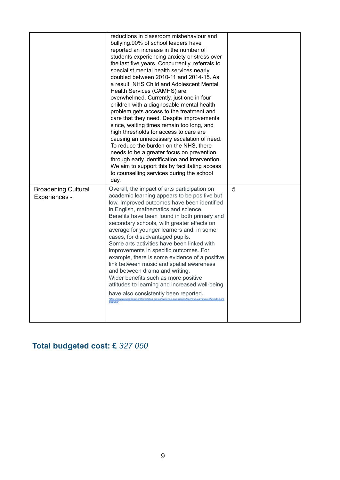|                                             | reductions in classroom misbehaviour and<br>bullying.90% of school leaders have<br>reported an increase in the number of<br>students experiencing anxiety or stress over<br>the last five years. Concurrently, referrals to<br>specialist mental health services nearly<br>doubled between 2010-11 and 2014-15. As<br>a result, NHS Child and Adolescent Mental<br>Health Services (CAMHS) are<br>overwhelmed. Currently, just one in four<br>children with a diagnosable mental health<br>problem gets access to the treatment and<br>care that they need. Despite improvements<br>since, waiting times remain too long, and<br>high thresholds for access to care are<br>causing an unnecessary escalation of need.<br>To reduce the burden on the NHS, there<br>needs to be a greater focus on prevention<br>through early identification and intervention.<br>We aim to support this by facilitating access<br>to counselling services during the school<br>day. |   |
|---------------------------------------------|----------------------------------------------------------------------------------------------------------------------------------------------------------------------------------------------------------------------------------------------------------------------------------------------------------------------------------------------------------------------------------------------------------------------------------------------------------------------------------------------------------------------------------------------------------------------------------------------------------------------------------------------------------------------------------------------------------------------------------------------------------------------------------------------------------------------------------------------------------------------------------------------------------------------------------------------------------------------|---|
| <b>Broadening Cultural</b><br>Experiences - | Overall, the impact of arts participation on<br>academic learning appears to be positive but<br>low. Improved outcomes have been identified<br>in English, mathematics and science.<br>Benefits have been found in both primary and<br>secondary schools, with greater effects on<br>average for younger learners and, in some<br>cases, for disadvantaged pupils.<br>Some arts activities have been linked with<br>improvements in specific outcomes. For<br>example, there is some evidence of a positive<br>link between music and spatial awareness<br>and between drama and writing.<br>Wider benefits such as more positive<br>attitudes to learning and increased well-being<br>have also consistently been reported.<br>https://educationendowmentfoundation.org.uk/evidence-summaries/teaching-learning-toolkit/arts-parti<br>cipation/                                                                                                                     | 5 |

## **Total budgeted cost: £** *327 050*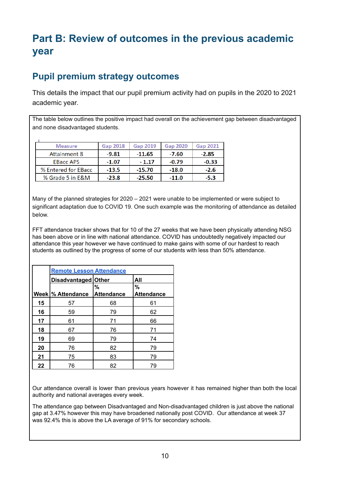# **Part B: Review of outcomes in the previous academic year**

## **Pupil premium strategy outcomes**

This details the impact that our pupil premium activity had on pupils in the 2020 to 2021 academic year.

The table below outlines the positive impact had overall on the achievement gap between disadvantaged and none disadvantaged students.

| <b>Measure</b>      | <b>Gap 2018</b> | <b>Gap 2019</b> | <b>Gap 2020</b> | <b>Gap 2021</b> |
|---------------------|-----------------|-----------------|-----------------|-----------------|
| <b>Attainment 8</b> | $-9.81$         | $-11.65$        | $-7.60$         | $-2.85$         |
| <b>EBacc APS</b>    | $-1.07$         | $-1.17$         | $-0.79$         | $-0.33$         |
| % Entered for EBacc | $-13.5$         | $-15.70$        | $-18.0$         | $-2.6$          |
| % Grade 5 in E&M    | $-23.8$         | $-25.50$        | $-11.0$         | -5.3            |

Many of the planned strategies for 2020 – 2021 were unable to be implemented or were subject to significant adaptation due to COVID 19. One such example was the monitoring of attendance as detailed below.

FFT attendance tracker shows that for 10 of the 27 weeks that we have been physically attending NSG has been above or in line with national attendance. COVID has undoubtedly negatively impacted our attendance this year however we have continued to make gains with some of our hardest to reach students as outlined by the progress of some of our students with less than 50% attendance.

|    | <b>Remote Lesson Attendance</b> |                   |                   |
|----|---------------------------------|-------------------|-------------------|
|    | Disadvantaged Other             |                   | All               |
|    |                                 | %                 | %                 |
|    | Week  % Attendance              | <b>Attendance</b> | <b>Attendance</b> |
| 15 | 57                              | 68                | 61                |
| 16 | 59                              | 79                | 62                |
| 17 | 61                              | 71                | 66                |
| 18 | 67                              | 76                | 71                |
| 19 | 69                              | 79                | 74                |
| 20 | 76                              | 82                | 79                |
| 21 | 75                              | 83                | 79                |
| 22 | 76                              | 82                | 79                |

Our attendance overall is lower than previous years however it has remained higher than both the local authority and national averages every week.

The attendance gap between Disadvantaged and Non-disadvantaged children is just above the national gap at 3.47% however this may have broadened nationally post COVID. Our attendance at week 37 was 92.4% this is above the LA average of 91% for secondary schools.